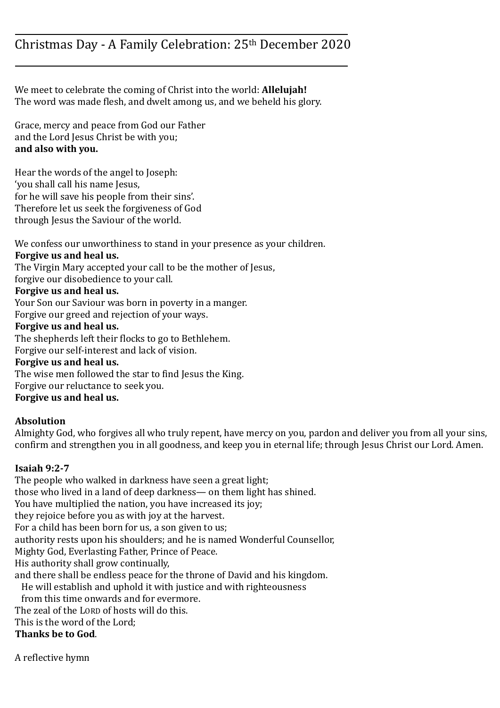## Christmas Day - A Family Celebration: 25th December 2020

We meet to celebrate the coming of Christ into the world: **Allelujah!** The word was made flesh, and dwelt among us, and we beheld his glory.

Grace, mercy and peace from God our Father and the Lord Jesus Christ be with you; **and also with you.**

Hear the words of the angel to Joseph: 'you shall call his name Jesus, for he will save his people from their sins'. Therefore let us seek the forgiveness of God through Jesus the Saviour of the world.

We confess our unworthiness to stand in your presence as your children.

#### **Forgive us and heal us.**

The Virgin Mary accepted your call to be the mother of Jesus,

forgive our disobedience to your call.

### **Forgive us and heal us.**

Your Son our Saviour was born in poverty in a manger.

Forgive our greed and rejection of your ways.

#### **Forgive us and heal us.**

The shepherds left their flocks to go to Bethlehem. Forgive our self-interest and lack of vision. **Forgive us and heal us.** The wise men followed the star to find Jesus the King. Forgive our reluctance to seek you. **Forgive us and heal us.**

# **Absolution**

Almighty God, who forgives all who truly repent, have mercy on you, pardon and deliver you from all your sins, confirm and strengthen you in all goodness, and keep you in eternal life; through Jesus Christ our Lord. Amen.

#### **Isaiah 9:2-7**

The people who walked in darkness have seen a great light; those who lived in a land of deep darkness— on them light has shined. You have multiplied the nation, you have increased its joy; they rejoice before you as with joy at the harvest. For a child has been born for us, a son given to us; authority rests upon his shoulders; and he is named Wonderful Counsellor, Mighty God, Everlasting Father, Prince of Peace. His authority shall grow continually, and there shall be endless peace for the throne of David and his kingdom. He will establish and uphold it with justice and with righteousness from this time onwards and for evermore. The zeal of the LORD of hosts will do this. This is the word of the Lord; **Thanks be to God**.

A reflective hymn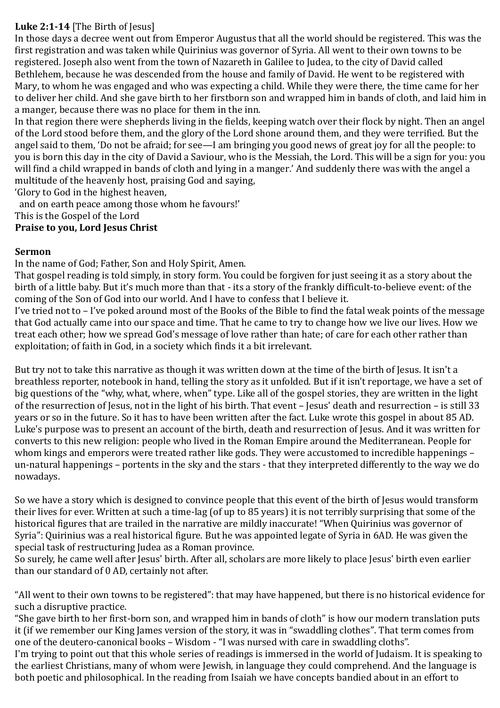### **Luke 2:1-14** [The Birth of Jesus]

In those days a decree went out from Emperor Augustus that all the world should be registered. This was the first registration and was taken while Quirinius was governor of Syria. All went to their own towns to be registered. Joseph also went from the town of Nazareth in Galilee to Judea, to the city of David called Bethlehem, because he was descended from the house and family of David. He went to be registered with Mary, to whom he was engaged and who was expecting a child. While they were there, the time came for her to deliver her child. And she gave birth to her firstborn son and wrapped him in bands of cloth, and laid him in a manger, because there was no place for them in the inn.

In that region there were shepherds living in the fields, keeping watch over their flock by night. Then an angel of the Lord stood before them, and the glory of the Lord shone around them, and they were terrified. But the angel said to them, 'Do not be afraid; for see—I am bringing you good news of great joy for all the people: to you is born this day in the city of David a Saviour, who is the Messiah, the Lord. This will be a sign for you: you will find a child wrapped in bands of cloth and lying in a manger.' And suddenly there was with the angel a multitude of the heavenly host, praising God and saying,

'Glory to God in the highest heaven,

 and on earth peace among those whom he favours!' This is the Gospel of the Lord

**Praise to you, Lord Jesus Christ**

#### **Sermon**

In the name of God; Father, Son and Holy Spirit, Amen.

That gospel reading is told simply, in story form. You could be forgiven for just seeing it as a story about the birth of a little baby. But it's much more than that - its a story of the frankly difficult-to-believe event: of the coming of the Son of God into our world. And I have to confess that I believe it.

I've tried not to – I've poked around most of the Books of the Bible to find the fatal weak points of the message that God actually came into our space and time. That he came to try to change how we live our lives. How we treat each other; how we spread God's message of love rather than hate; of care for each other rather than exploitation; of faith in God, in a society which finds it a bit irrelevant.

But try not to take this narrative as though it was written down at the time of the birth of Jesus. It isn't a breathless reporter, notebook in hand, telling the story as it unfolded. But if it isn't reportage, we have a set of big questions of the "why, what, where, when" type. Like all of the gospel stories, they are written in the light of the resurrection of Jesus, not in the light of his birth. That event – Jesus' death and resurrection – is still 33 years or so in the future. So it has to have been written after the fact. Luke wrote this gospel in about 85 AD. Luke's purpose was to present an account of the birth, death and resurrection of Jesus. And it was written for converts to this new religion: people who lived in the Roman Empire around the Mediterranean. People for whom kings and emperors were treated rather like gods. They were accustomed to incredible happenings – un-natural happenings – portents in the sky and the stars - that they interpreted differently to the way we do nowadays.

So we have a story which is designed to convince people that this event of the birth of Jesus would transform their lives for ever. Written at such a time-lag (of up to 85 years) it is not terribly surprising that some of the historical figures that are trailed in the narrative are mildly inaccurate! "When Quirinius was governor of Syria": Quirinius was a real historical figure. But he was appointed legate of Syria in 6AD. He was given the special task of restructuring Judea as a Roman province.

So surely, he came well after Jesus' birth. After all, scholars are more likely to place Jesus' birth even earlier than our standard of 0 AD, certainly not after.

"All went to their own towns to be registered": that may have happened, but there is no historical evidence for such a disruptive practice.

"She gave birth to her first-born son, and wrapped him in bands of cloth" is how our modern translation puts it (if we remember our King James version of the story, it was in "swaddling clothes". That term comes from one of the deutero-canonical books – Wisdom - "I was nursed with care in swaddling cloths".

I'm trying to point out that this whole series of readings is immersed in the world of Judaism. It is speaking to the earliest Christians, many of whom were Jewish, in language they could comprehend. And the language is both poetic and philosophical. In the reading from Isaiah we have concepts bandied about in an effort to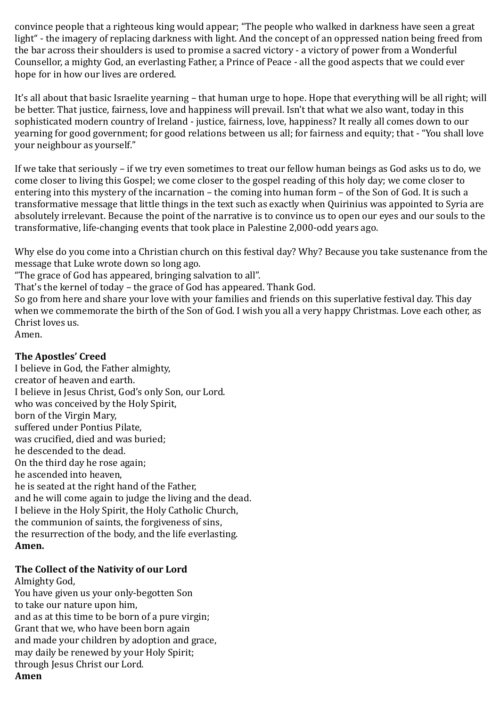convince people that a righteous king would appear; "The people who walked in darkness have seen a great light" - the imagery of replacing darkness with light. And the concept of an oppressed nation being freed from the bar across their shoulders is used to promise a sacred victory - a victory of power from a Wonderful Counsellor, a mighty God, an everlasting Father, a Prince of Peace - all the good aspects that we could ever hope for in how our lives are ordered.

It's all about that basic Israelite yearning – that human urge to hope. Hope that everything will be all right; will be better. That justice, fairness, love and happiness will prevail. Isn't that what we also want, today in this sophisticated modern country of Ireland - justice, fairness, love, happiness? It really all comes down to our yearning for good government; for good relations between us all; for fairness and equity; that - "You shall love your neighbour as yourself."

If we take that seriously – if we try even sometimes to treat our fellow human beings as God asks us to do, we come closer to living this Gospel; we come closer to the gospel reading of this holy day; we come closer to entering into this mystery of the incarnation – the coming into human form – of the Son of God. It is such a transformative message that little things in the text such as exactly when Quirinius was appointed to Syria are absolutely irrelevant. Because the point of the narrative is to convince us to open our eyes and our souls to the transformative, life-changing events that took place in Palestine 2,000-odd years ago.

Why else do you come into a Christian church on this festival day? Why? Because you take sustenance from the message that Luke wrote down so long ago.

"The grace of God has appeared, bringing salvation to all".

That's the kernel of today – the grace of God has appeared. Thank God.

So go from here and share your love with your families and friends on this superlative festival day. This day when we commemorate the birth of the Son of God. I wish you all a very happy Christmas. Love each other, as Christ loves us.

Amen.

#### **The Apostles' Creed**

I believe in God, the Father almighty, creator of heaven and earth. I believe in Jesus Christ, God's only Son, our Lord. who was conceived by the Holy Spirit, born of the Virgin Mary, suffered under Pontius Pilate, was crucified, died and was buried; he descended to the dead. On the third day he rose again; he ascended into heaven, he is seated at the right hand of the Father, and he will come again to judge the living and the dead. I believe in the Holy Spirit, the Holy Catholic Church, the communion of saints, the forgiveness of sins, the resurrection of the body, and the life everlasting. **Amen.** 

#### **The Collect of the Nativity of our Lord**

Almighty God, You have given us your only-begotten Son to take our nature upon him, and as at this time to be born of a pure virgin; Grant that we, who have been born again and made your children by adoption and grace, may daily be renewed by your Holy Spirit; through Jesus Christ our Lord. **Amen**